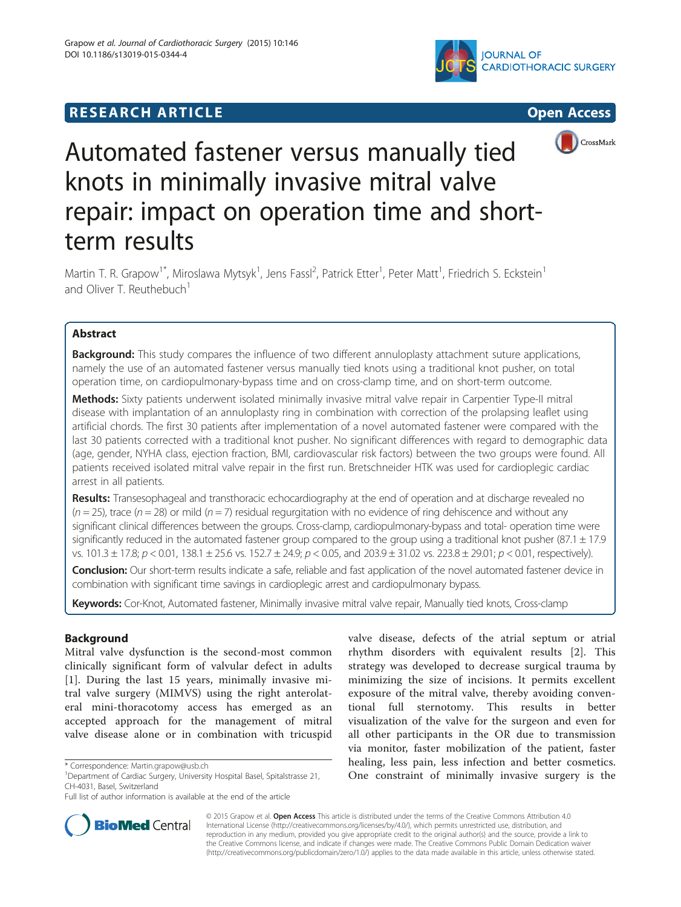# **RESEARCH ARTICLE Example 2014 CONSIDERING CONSIDERING CONSIDERING CONSIDERING CONSIDERING CONSIDERING CONSIDERING CONSIDERING CONSIDERING CONSIDERING CONSIDERING CONSIDERING CONSIDERING CONSIDERING CONSIDERING CONSIDE**







# Automated fastener versus manually tied knots in minimally invasive mitral valve repair: impact on operation time and shortterm results

Martin T. R. Grapow<sup>1\*</sup>, Miroslawa Mytsyk<sup>1</sup>, Jens Fassl<sup>2</sup>, Patrick Etter<sup>1</sup>, Peter Matt<sup>1</sup>, Friedrich S. Eckstein<sup>1</sup> and Oliver T. Reuthebuch<sup>1</sup>

# Abstract

Background: This study compares the influence of two different annuloplasty attachment suture applications, namely the use of an automated fastener versus manually tied knots using a traditional knot pusher, on total operation time, on cardiopulmonary-bypass time and on cross-clamp time, and on short-term outcome.

Methods: Sixty patients underwent isolated minimally invasive mitral valve repair in Carpentier Type-II mitral disease with implantation of an annuloplasty ring in combination with correction of the prolapsing leaflet using artificial chords. The first 30 patients after implementation of a novel automated fastener were compared with the last 30 patients corrected with a traditional knot pusher. No significant differences with regard to demographic data (age, gender, NYHA class, ejection fraction, BMI, cardiovascular risk factors) between the two groups were found. All patients received isolated mitral valve repair in the first run. Bretschneider HTK was used for cardioplegic cardiac arrest in all patients.

Results: Transesophageal and transthoracic echocardiography at the end of operation and at discharge revealed no  $(n = 25)$ , trace  $(n = 28)$  or mild  $(n = 7)$  residual regurgitation with no evidence of ring dehiscence and without any significant clinical differences between the groups. Cross-clamp, cardiopulmonary-bypass and total- operation time were significantly reduced in the automated fastener group compared to the group using a traditional knot pusher  $(87.1 \pm 17.9$ vs. 101.3  $\pm$  17.8;  $p$  < 0.01, 138.1  $\pm$  25.6 vs. 152.7  $\pm$  24.9;  $p$  < 0.05, and 203.9  $\pm$  31.02 vs. 223.8  $\pm$  29.01;  $p$  < 0.01, respectively).

Conclusion: Our short-term results indicate a safe, reliable and fast application of the novel automated fastener device in combination with significant time savings in cardioplegic arrest and cardiopulmonary bypass.

Keywords: Cor-Knot, Automated fastener, Minimally invasive mitral valve repair, Manually tied knots, Cross-clamp

# Background

Mitral valve dysfunction is the second-most common clinically significant form of valvular defect in adults [[1\]](#page-4-0). During the last 15 years, minimally invasive mitral valve surgery (MIMVS) using the right anterolateral mini-thoracotomy access has emerged as an accepted approach for the management of mitral valve disease alone or in combination with tricuspid

Full list of author information is available at the end of the article



**BioMed Central** 

© 2015 Grapow et al. Open Access This article is distributed under the terms of the Creative Commons Attribution 4.0 International License [\(http://creativecommons.org/licenses/by/4.0/](http://creativecommons.org/licenses/by/4.0/)), which permits unrestricted use, distribution, and reproduction in any medium, provided you give appropriate credit to the original author(s) and the source, provide a link to the Creative Commons license, and indicate if changes were made. The Creative Commons Public Domain Dedication waiver [\(http://creativecommons.org/publicdomain/zero/1.0/](http://creativecommons.org/publicdomain/zero/1.0/)) applies to the data made available in this article, unless otherwise stated.

<sup>\*</sup> Correspondence: [Martin.grapow@usb.ch](mailto:Martin.grapow@usb.ch) <sup>1</sup>

<sup>&</sup>lt;sup>1</sup>Department of Cardiac Surgery, University Hospital Basel, Spitalstrasse 21, CH-4031, Basel, Switzerland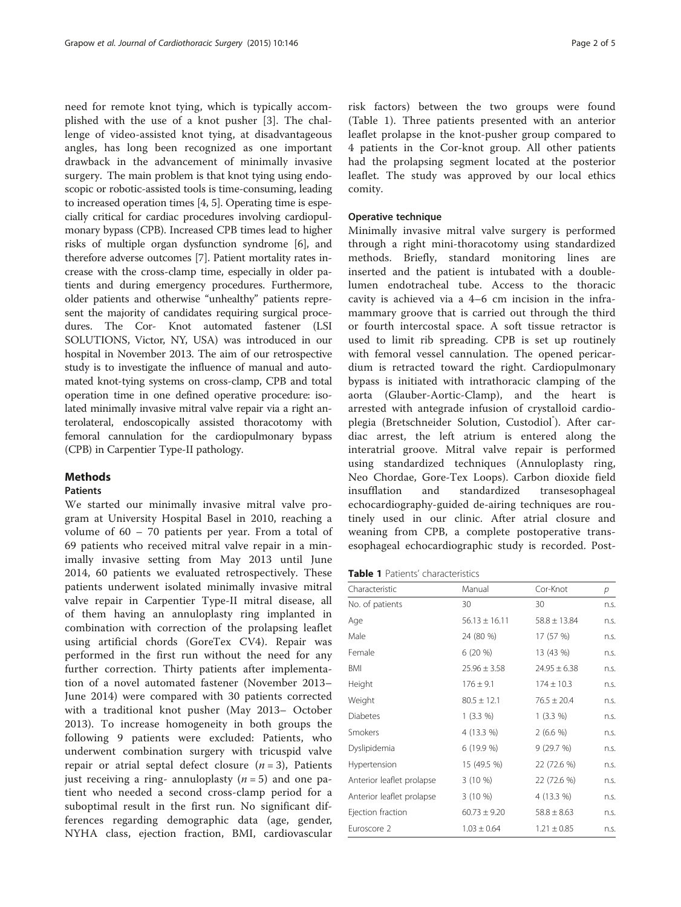need for remote knot tying, which is typically accomplished with the use of a knot pusher [\[3](#page-4-0)]. The challenge of video-assisted knot tying, at disadvantageous angles, has long been recognized as one important drawback in the advancement of minimally invasive surgery. The main problem is that knot tying using endoscopic or robotic-assisted tools is time-consuming, leading to increased operation times [\[4](#page-4-0), [5\]](#page-4-0). Operating time is especially critical for cardiac procedures involving cardiopulmonary bypass (CPB). Increased CPB times lead to higher risks of multiple organ dysfunction syndrome [\[6](#page-4-0)], and therefore adverse outcomes [[7](#page-4-0)]. Patient mortality rates increase with the cross-clamp time, especially in older patients and during emergency procedures. Furthermore, older patients and otherwise "unhealthy" patients represent the majority of candidates requiring surgical procedures. The Cor- Knot automated fastener (LSI SOLUTIONS, Victor, NY, USA) was introduced in our hospital in November 2013. The aim of our retrospective study is to investigate the influence of manual and automated knot-tying systems on cross-clamp, CPB and total operation time in one defined operative procedure: isolated minimally invasive mitral valve repair via a right anterolateral, endoscopically assisted thoracotomy with femoral cannulation for the cardiopulmonary bypass (CPB) in Carpentier Type-II pathology.

#### Methods

#### Patients

We started our minimally invasive mitral valve program at University Hospital Basel in 2010, reaching a volume of 60 – 70 patients per year. From a total of 69 patients who received mitral valve repair in a minimally invasive setting from May 2013 until June 2014, 60 patients we evaluated retrospectively. These patients underwent isolated minimally invasive mitral valve repair in Carpentier Type-II mitral disease, all of them having an annuloplasty ring implanted in combination with correction of the prolapsing leaflet using artificial chords (GoreTex CV4). Repair was performed in the first run without the need for any further correction. Thirty patients after implementation of a novel automated fastener (November 2013– June 2014) were compared with 30 patients corrected with a traditional knot pusher (May 2013– October 2013). To increase homogeneity in both groups the following 9 patients were excluded: Patients, who underwent combination surgery with tricuspid valve repair or atrial septal defect closure  $(n = 3)$ , Patients just receiving a ring- annuloplasty  $(n = 5)$  and one patient who needed a second cross-clamp period for a suboptimal result in the first run. No significant differences regarding demographic data (age, gender, NYHA class, ejection fraction, BMI, cardiovascular

risk factors) between the two groups were found (Table 1). Three patients presented with an anterior leaflet prolapse in the knot-pusher group compared to 4 patients in the Cor-knot group. All other patients had the prolapsing segment located at the posterior leaflet. The study was approved by our local ethics comity.

#### Operative technique

Minimally invasive mitral valve surgery is performed through a right mini-thoracotomy using standardized methods. Briefly, standard monitoring lines are inserted and the patient is intubated with a doublelumen endotracheal tube. Access to the thoracic cavity is achieved via a 4–6 cm incision in the inframammary groove that is carried out through the third or fourth intercostal space. A soft tissue retractor is used to limit rib spreading. CPB is set up routinely with femoral vessel cannulation. The opened pericardium is retracted toward the right. Cardiopulmonary bypass is initiated with intrathoracic clamping of the aorta (Glauber-Aortic-Clamp), and the heart is arrested with antegrade infusion of crystalloid cardioplegia (Bretschneider Solution, Custodiol<sup>®</sup>). After cardiac arrest, the left atrium is entered along the interatrial groove. Mitral valve repair is performed using standardized techniques (Annuloplasty ring, Neo Chordae, Gore-Tex Loops). Carbon dioxide field insufflation and standardized transesophageal echocardiography-guided de-airing techniques are routinely used in our clinic. After atrial closure and weaning from CPB, a complete postoperative transesophageal echocardiographic study is recorded. Post-

| Characteristic            | Manual            | Cor-Knot         | р    |
|---------------------------|-------------------|------------------|------|
| No. of patients           | 30                | 30               | n.S. |
| Age                       | $56.13 \pm 16.11$ | $58.8 \pm 13.84$ | n.s. |
| Male                      | 24 (80 %)         | 17 (57 %)        | n.S. |
| Female                    | $6(20\%)$         | 13 (43 %)        | n.s. |
| BMI                       | $25.96 \pm 3.58$  | $24.95 \pm 6.38$ | n.s. |
| Height                    | $176 \pm 9.1$     | $174 \pm 10.3$   | n.S. |
| Weight                    | $80.5 \pm 12.1$   | $76.5 \pm 20.4$  | n.s. |
| <b>Diabetes</b>           | $1(3.3\%)$        | $1(3.3\%)$       | n.s. |
| Smokers                   | 4 (13.3 %)        | $2(6.6\%)$       | n.S. |
| Dyslipidemia              | 6(19.9%           | 9(29.7%)         | n.s. |
| Hypertension              | 15 (49.5 %)       | 22 (72.6 %)      | n.s. |
| Anterior leaflet prolapse | $3(10\%)$         | 22 (72.6 %)      | n.S. |
| Anterior leaflet prolapse | $3(10\%)$         | 4 (13.3 %)       | n.s. |
| Ejection fraction         | $60.73 \pm 9.20$  | $58.8 \pm 8.63$  | n.S. |
| Euroscore 2               | $1.03 \pm 0.64$   | $1.21 \pm 0.85$  | n.s. |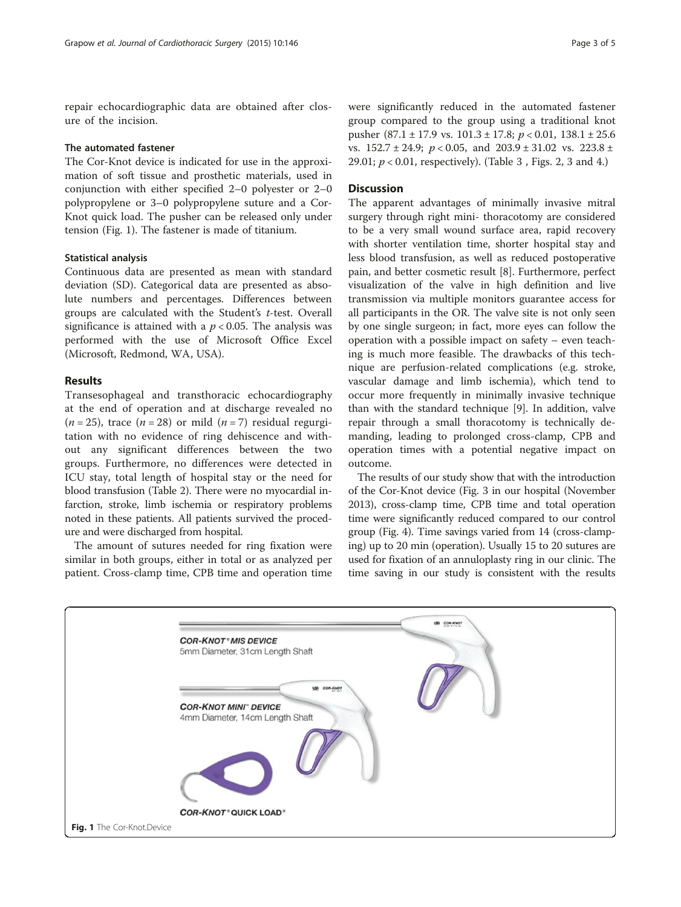repair echocardiographic data are obtained after closure of the incision.

#### The automated fastener

The Cor-Knot device is indicated for use in the approximation of soft tissue and prosthetic materials, used in conjunction with either specified 2–0 polyester or 2–0 polypropylene or 3–0 polypropylene suture and a Cor-Knot quick load. The pusher can be released only under tension (Fig. 1). The fastener is made of titanium.

### Statistical analysis

Continuous data are presented as mean with standard deviation (SD). Categorical data are presented as absolute numbers and percentages. Differences between groups are calculated with the Student's t-test. Overall significance is attained with a  $p < 0.05$ . The analysis was performed with the use of Microsoft Office Excel (Microsoft, Redmond, WA, USA).

#### Results

Transesophageal and transthoracic echocardiography at the end of operation and at discharge revealed no  $(n = 25)$ , trace  $(n = 28)$  or mild  $(n = 7)$  residual regurgitation with no evidence of ring dehiscence and without any significant differences between the two groups. Furthermore, no differences were detected in ICU stay, total length of hospital stay or the need for blood transfusion (Table [2](#page-3-0)). There were no myocardial infarction, stroke, limb ischemia or respiratory problems noted in these patients. All patients survived the procedure and were discharged from hospital.

The amount of sutures needed for ring fixation were similar in both groups, either in total or as analyzed per patient. Cross-clamp time, CPB time and operation time

were significantly reduced in the automated fastener group compared to the group using a traditional knot pusher (87.1 ± 17.9 vs.  $101.3 \pm 17.8$ ;  $p < 0.01$ ,  $138.1 \pm 25.6$ vs.  $152.7 \pm 24.9$ ;  $p < 0.05$ , and  $203.9 \pm 31.02$  vs.  $223.8 \pm 1.02$ 29.01;  $p < 0.01$ , respectively). (Table 3, Figs. [2](#page-3-0), [3](#page-3-0) and [4.](#page-3-0))

#### **Discussion**

The apparent advantages of minimally invasive mitral surgery through right mini- thoracotomy are considered to be a very small wound surface area, rapid recovery with shorter ventilation time, shorter hospital stay and less blood transfusion, as well as reduced postoperative pain, and better cosmetic result [\[8\]](#page-4-0). Furthermore, perfect visualization of the valve in high definition and live transmission via multiple monitors guarantee access for all participants in the OR. The valve site is not only seen by one single surgeon; in fact, more eyes can follow the operation with a possible impact on safety – even teaching is much more feasible. The drawbacks of this technique are perfusion-related complications (e.g. stroke, vascular damage and limb ischemia), which tend to occur more frequently in minimally invasive technique than with the standard technique [[9\]](#page-4-0). In addition, valve repair through a small thoracotomy is technically demanding, leading to prolonged cross-clamp, CPB and operation times with a potential negative impact on outcome.

The results of our study show that with the introduction of the Cor-Knot device (Fig. [3](#page-3-0) in our hospital (November 2013), cross-clamp time, CPB time and total operation time were significantly reduced compared to our control group (Fig. [4\)](#page-3-0). Time savings varied from 14 (cross-clamping) up to 20 min (operation). Usually 15 to 20 sutures are used for fixation of an annuloplasty ring in our clinic. The time saving in our study is consistent with the results

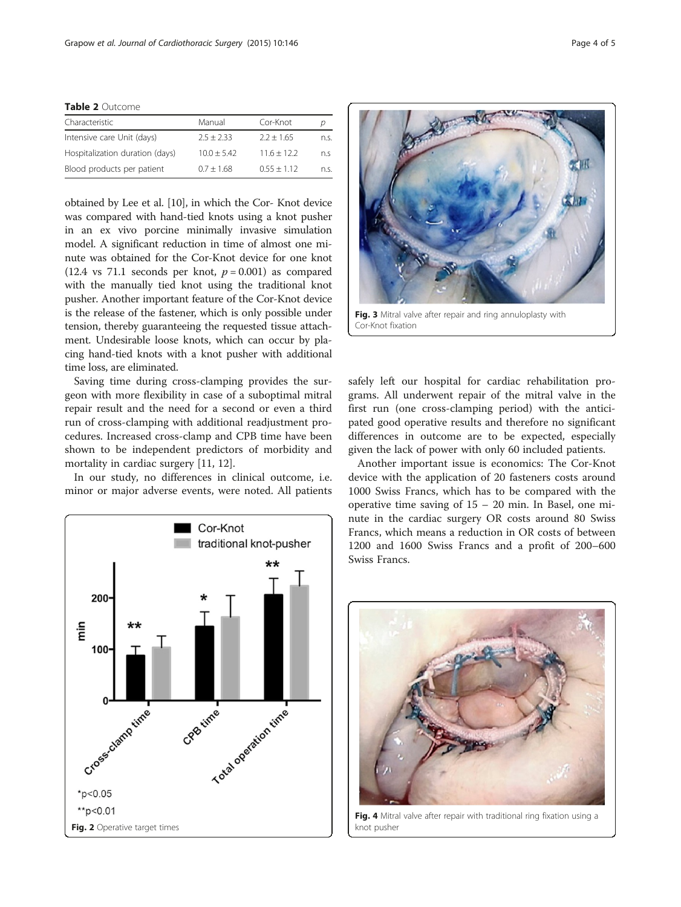<span id="page-3-0"></span>Table 2 Outcome

| Manual        | Cor-Knot      |      |
|---------------|---------------|------|
| $2.5 + 2.33$  | $2.2 + 1.65$  | n.S. |
| $10.0 + 5.42$ | $11.6 + 12.2$ | n.S  |
| $0.7 + 1.68$  | $0.55 + 1.12$ | n.S. |
|               |               |      |

obtained by Lee et al. [\[10](#page-4-0)], in which the Cor- Knot device was compared with hand-tied knots using a knot pusher in an ex vivo porcine minimally invasive simulation model. A significant reduction in time of almost one minute was obtained for the Cor-Knot device for one knot (12.4 vs 71.1 seconds per knot,  $p = 0.001$ ) as compared with the manually tied knot using the traditional knot pusher. Another important feature of the Cor-Knot device is the release of the fastener, which is only possible under tension, thereby guaranteeing the requested tissue attachment. Undesirable loose knots, which can occur by placing hand-tied knots with a knot pusher with additional time loss, are eliminated.

Saving time during cross-clamping provides the surgeon with more flexibility in case of a suboptimal mitral repair result and the need for a second or even a third run of cross-clamping with additional readjustment procedures. Increased cross-clamp and CPB time have been shown to be independent predictors of morbidity and mortality in cardiac surgery [[11, 12\]](#page-4-0).

In our study, no differences in clinical outcome, i.e. minor or major adverse events, were noted. All patients





Cor-Knot fixation

safely left our hospital for cardiac rehabilitation programs. All underwent repair of the mitral valve in the first run (one cross-clamping period) with the anticipated good operative results and therefore no significant differences in outcome are to be expected, especially given the lack of power with only 60 included patients.

Another important issue is economics: The Cor-Knot device with the application of 20 fasteners costs around 1000 Swiss Francs, which has to be compared with the operative time saving of 15 – 20 min. In Basel, one minute in the cardiac surgery OR costs around 80 Swiss Francs, which means a reduction in OR costs of between 1200 and 1600 Swiss Francs and a profit of 200–600 Swiss Francs.



Fig. 4 Mitral valve after repair with traditional ring fixation using a knot pusher